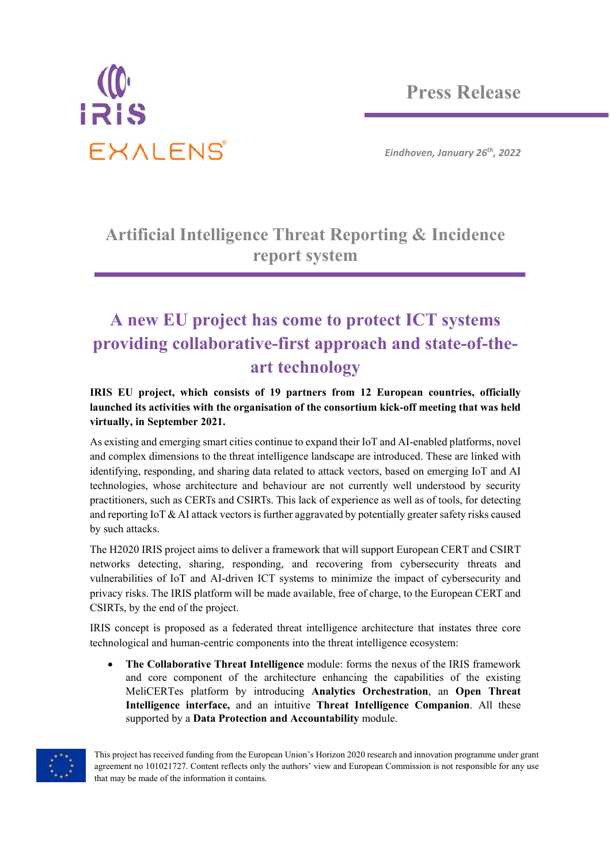

*Eindhoven, January 26th, 2022*

### **Artificial Intelligence Threat Reporting & Incidence report system**

## **A new EU project has come to protect ICT systems providing collaborative-first approach and state-of-theart technology**

#### **IRIS EU project, which consists of 19 partners from 12 European countries, officially launched its activities with the organisation of the consortium kick-off meeting that was held virtually, in September 2021.**

As existing and emerging smart cities continue to expand their IoT and AI-enabled platforms, novel and complex dimensions to the threat intelligence landscape are introduced. These are linked with identifying, responding, and sharing data related to attack vectors, based on emerging IoT and AI technologies, whose architecture and behaviour are not currently well understood by security practitioners, such as CERTs and CSIRTs. This lack of experience as well as of tools, for detecting and reporting IoT  $\&$  AI attack vectors is further aggravated by potentially greater safety risks caused by such attacks.

The H2020 IRIS project aims to deliver a framework that will support European CERT and CSIRT networks detecting, sharing, responding, and recovering from cybersecurity threats and vulnerabilities of IoT and AI-driven ICT systems to minimize the impact of cybersecurity and privacy risks. The IRIS platform will be made available, free of charge, to the European CERT and CSIRTs, by the end of the project.

IRIS concept is proposed as a federated threat intelligence architecture that instates three core technological and human-centric components into the threat intelligence ecosystem:

 **The Collaborative Threat Intelligence** module: forms the nexus of the IRIS framework and core component of the architecture enhancing the capabilities of the existing MeliCERTes platform by introducing **Analytics Orchestration**, an **Open Threat Intelligence interface,** and an intuitive **Threat Intelligence Companion**. All these supported by a **Data Protection and Accountability** module.



This project has received funding from the European Union's Horizon 2020 research and innovation programme under grant agreement no 101021727. Content reflects only the authors' view and European Commission is not responsible for any use that may be made of the information it contains.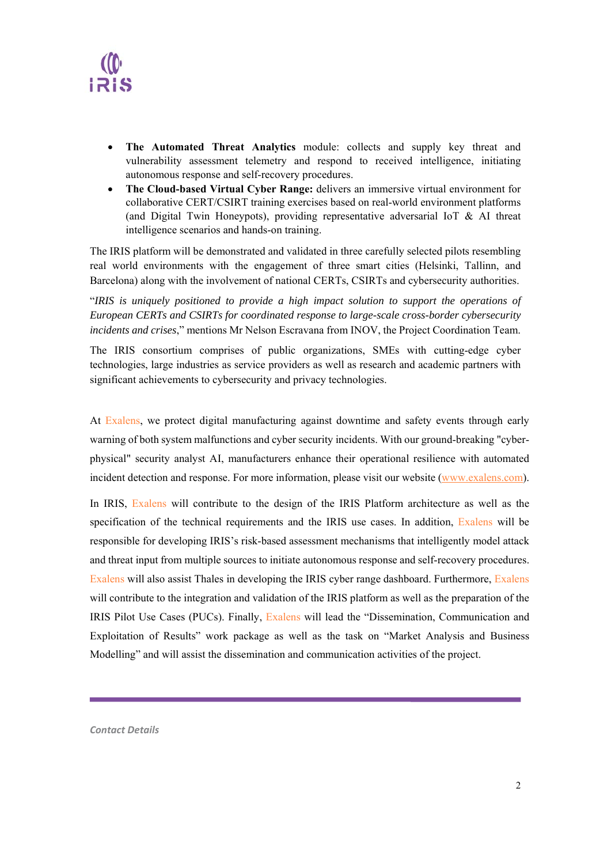

- **The Automated Threat Analytics** module: collects and supply key threat and vulnerability assessment telemetry and respond to received intelligence, initiating autonomous response and self-recovery procedures.
- **The Cloud-based Virtual Cyber Range:** delivers an immersive virtual environment for collaborative CERT/CSIRT training exercises based on real-world environment platforms (and Digital Twin Honeypots), providing representative adversarial IoT & AI threat intelligence scenarios and hands-on training.

The IRIS platform will be demonstrated and validated in three carefully selected pilots resembling real world environments with the engagement of three smart cities (Helsinki, Tallinn, and Barcelona) along with the involvement of national CERTs, CSIRTs and cybersecurity authorities.

"*IRIS is uniquely positioned to provide a high impact solution to support the operations of European CERTs and CSIRTs for coordinated response to large-scale cross-border cybersecurity incidents and crises*," mentions Mr Nelson Escravana from INOV, the Project Coordination Team.

The IRIS consortium comprises of public organizations, SMEs with cutting-edge cyber technologies, large industries as service providers as well as research and academic partners with significant achievements to cybersecurity and privacy technologies.

At Exalens, we protect digital manufacturing against downtime and safety events through early warning of both system malfunctions and cyber security incidents. With our ground-breaking "cyberphysical" security analyst AI, manufacturers enhance their operational resilience with automated incident detection and response. For more information, please visit our website (www.exalens.com).

In IRIS, Exalens will contribute to the design of the IRIS Platform architecture as well as the specification of the technical requirements and the IRIS use cases. In addition, Exalens will be responsible for developing IRIS's risk-based assessment mechanisms that intelligently model attack and threat input from multiple sources to initiate autonomous response and self-recovery procedures. Exalens will also assist Thales in developing the IRIS cyber range dashboard. Furthermore, Exalens will contribute to the integration and validation of the IRIS platform as well as the preparation of the IRIS Pilot Use Cases (PUCs). Finally, Exalens will lead the "Dissemination, Communication and Exploitation of Results" work package as well as the task on "Market Analysis and Business Modelling" and will assist the dissemination and communication activities of the project.

*Contact Details*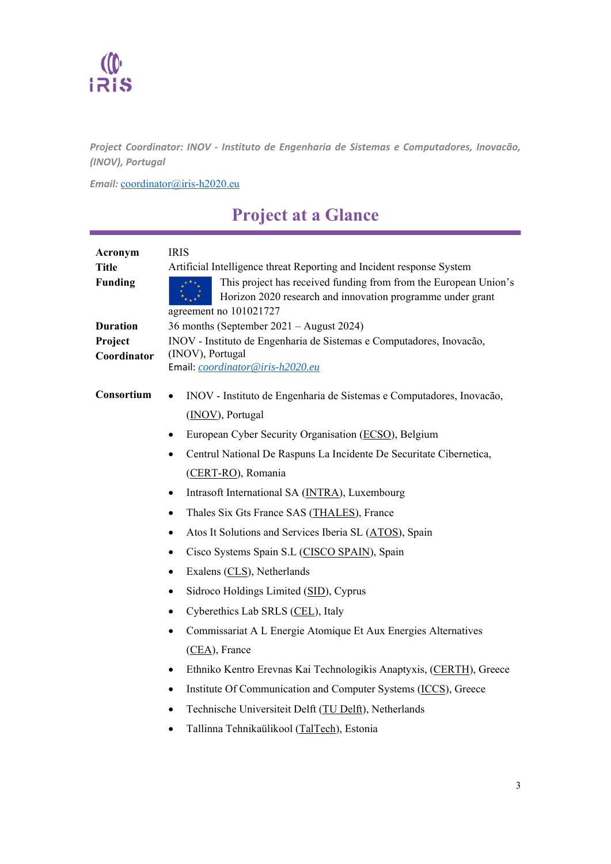# $\frac{1}{1}$

*Project Coordinator: INOV ‐ Instituto de Engenharia de Sistemas e Computadores, Inovacão, (INOV), Portugal* 

*Email:* coordinator@iris-h2020.eu

## **Project at a Glance**

| Acronym<br><b>Title</b><br><b>Funding</b><br><b>Duration</b> | <b>IRIS</b><br>Artificial Intelligence threat Reporting and Incident response System<br>This project has received funding from from the European Union's<br>Horizon 2020 research and innovation programme under grant<br>agreement no 101021727<br>36 months (September 2021 – August 2024) |
|--------------------------------------------------------------|----------------------------------------------------------------------------------------------------------------------------------------------------------------------------------------------------------------------------------------------------------------------------------------------|
| Project                                                      | INOV - Instituto de Engenharia de Sistemas e Computadores, Inovação,                                                                                                                                                                                                                         |
| Coordinator                                                  | (INOV), Portugal                                                                                                                                                                                                                                                                             |
|                                                              | Email: coordinator@iris-h2020.eu                                                                                                                                                                                                                                                             |
| Consortium                                                   | INOV - Instituto de Engenharia de Sistemas e Computadores, Inovação,<br>$\bullet$<br>(INOV), Portugal                                                                                                                                                                                        |
|                                                              | European Cyber Security Organisation (ECSO), Belgium<br>$\bullet$                                                                                                                                                                                                                            |
|                                                              |                                                                                                                                                                                                                                                                                              |
|                                                              | Centrul National De Raspuns La Incidente De Securitate Cibernetica,                                                                                                                                                                                                                          |
|                                                              | (CERT-RO), Romania                                                                                                                                                                                                                                                                           |
|                                                              | Intrasoft International SA (INTRA), Luxembourg<br>$\bullet$                                                                                                                                                                                                                                  |
|                                                              | Thales Six Gts France SAS (THALES), France<br>$\bullet$                                                                                                                                                                                                                                      |
|                                                              | Atos It Solutions and Services Iberia SL (ATOS), Spain                                                                                                                                                                                                                                       |
|                                                              | Cisco Systems Spain S.L (CISCO SPAIN), Spain                                                                                                                                                                                                                                                 |
|                                                              | Exalens (CLS), Netherlands<br>$\bullet$                                                                                                                                                                                                                                                      |
|                                                              | Sidroco Holdings Limited (SID), Cyprus<br>$\bullet$                                                                                                                                                                                                                                          |
|                                                              | Cyberethics Lab SRLS (CEL), Italy<br>$\bullet$                                                                                                                                                                                                                                               |
|                                                              | Commissariat A L Energie Atomique Et Aux Energies Alternatives                                                                                                                                                                                                                               |
|                                                              | (CEA), France                                                                                                                                                                                                                                                                                |
|                                                              | Ethniko Kentro Erevnas Kai Technologikis Anaptyxis, (CERTH), Greece<br>٠                                                                                                                                                                                                                     |
|                                                              | Institute Of Communication and Computer Systems (ICCS), Greece<br>$\bullet$                                                                                                                                                                                                                  |
|                                                              | Technische Universiteit Delft (TU Delft), Netherlands<br>٠                                                                                                                                                                                                                                   |
|                                                              | Tallinna Tehnikaülikool (TalTech), Estonia                                                                                                                                                                                                                                                   |
|                                                              |                                                                                                                                                                                                                                                                                              |